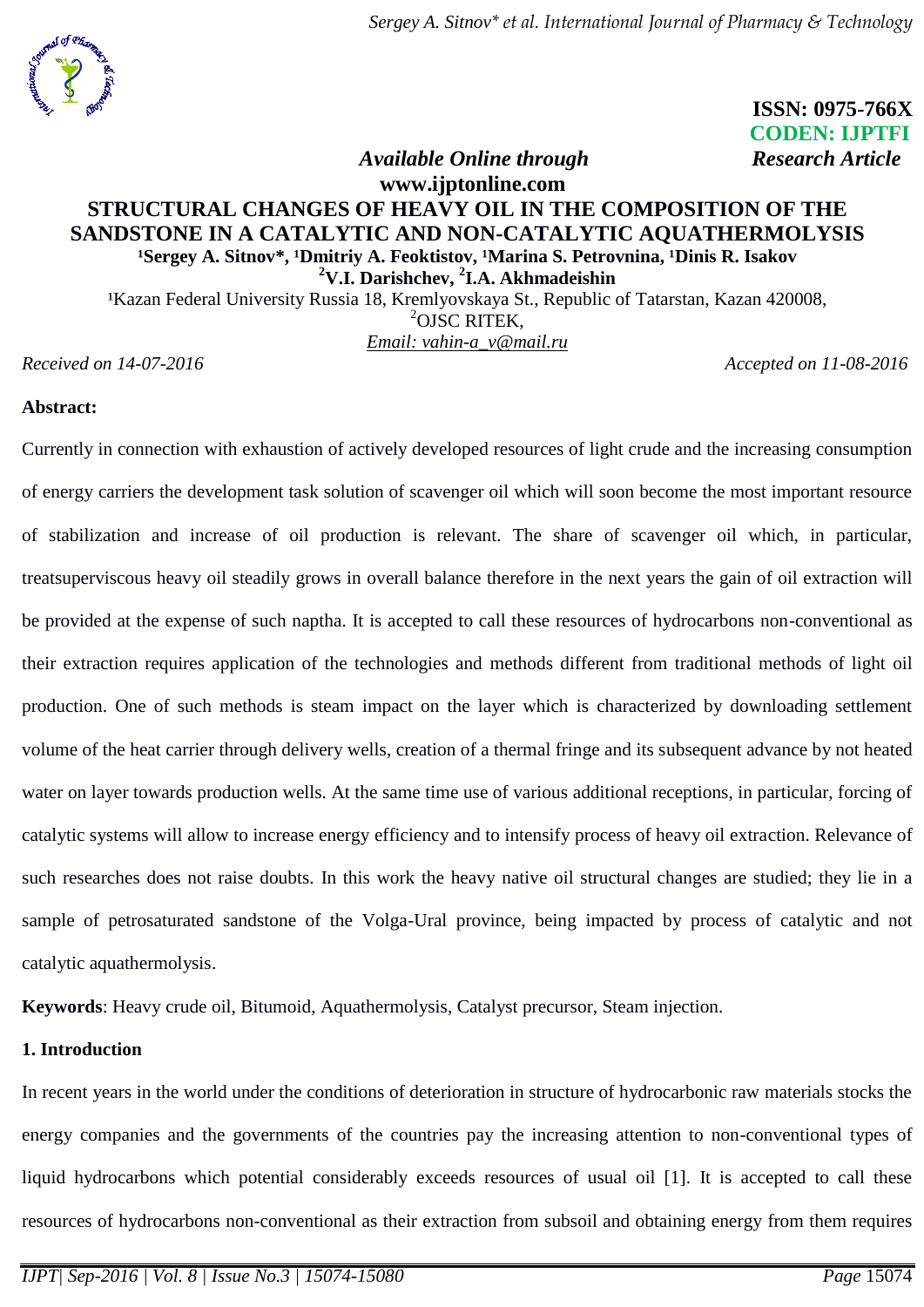

 **ISSN: 0975-766X CODEN: IJPTFI** *<i>Available Online through* Research Article

# **www.ijptonline.com STRUCTURAL CHANGES OF HEAVY OIL IN THE COMPOSITION OF THE SANDSTONE IN A CATALYTIC AND NON-CATALYTIC AQUATHERMOLYSIS** <sup>1</sup>Sergey A. Sitnov\*, <sup>1</sup>Dmitriy A. Feoktistov, <sup>1</sup>Marina S. Petrovnina, <sup>1</sup>Dinis R. Isakov **<sup>2</sup>V.I. Darishchev, <sup>2</sup> I.A. Akhmadeishin** <sup>1</sup>Kazan Federal University Russia 18, Kremlyovskaya St., Republic of Tatarstan, Kazan 420008,

 $^{2}$ OJSC RITEK. *Email: [vahin-a\\_v@mail.ru](mailto:vahin-a_v@mail.ru)*

*Received on 14-07-2016 Accepted on 11-08-2016* 

# **Abstract:**

Currently in connection with exhaustion of actively developed resources of light crude and the increasing consumption of energy carriers the development task solution of scavenger oil which will soon become the most important resource of stabilization and increase of oil production is relevant. The share of scavenger oil which, in particular, treatsuperviscous heavy oil steadily grows in overall balance therefore in the next years the gain of oil extraction will be provided at the expense of such naptha. It is accepted to call these resources of hydrocarbons non-conventional as their extraction requires application of the technologies and methods different from traditional methods of light oil production. One of such methods is steam impact on the layer which is characterized by downloading settlement volume of the heat carrier through delivery wells, creation of a thermal fringe and its subsequent advance by not heated water on layer towards production wells. At the same time use of various additional receptions, in particular, forcing of catalytic systems will allow to increase energy efficiency and to intensify process of heavy oil extraction. Relevance of such researches does not raise doubts. In this work the heavy native oil structural changes are studied; they lie in a sample of petrosaturated sandstone of the Volga-Ural province, being impacted by process of catalytic and not catalytic aquathermolysis.

**Keywords**: Heavy crude oil, Bitumoid, Aquathermolysis, Catalyst precursor, Steam injection.

# **1. Introduction**

In recent years in the world under the conditions of deterioration in structure of hydrocarbonic raw materials stocks the energy companies and the governments of the countries pay the increasing attention to non-conventional types of liquid hydrocarbons which potential considerably exceeds resources of usual oil [1]. It is accepted to call these resources of hydrocarbons non-conventional as their extraction from subsoil and obtaining energy from them requires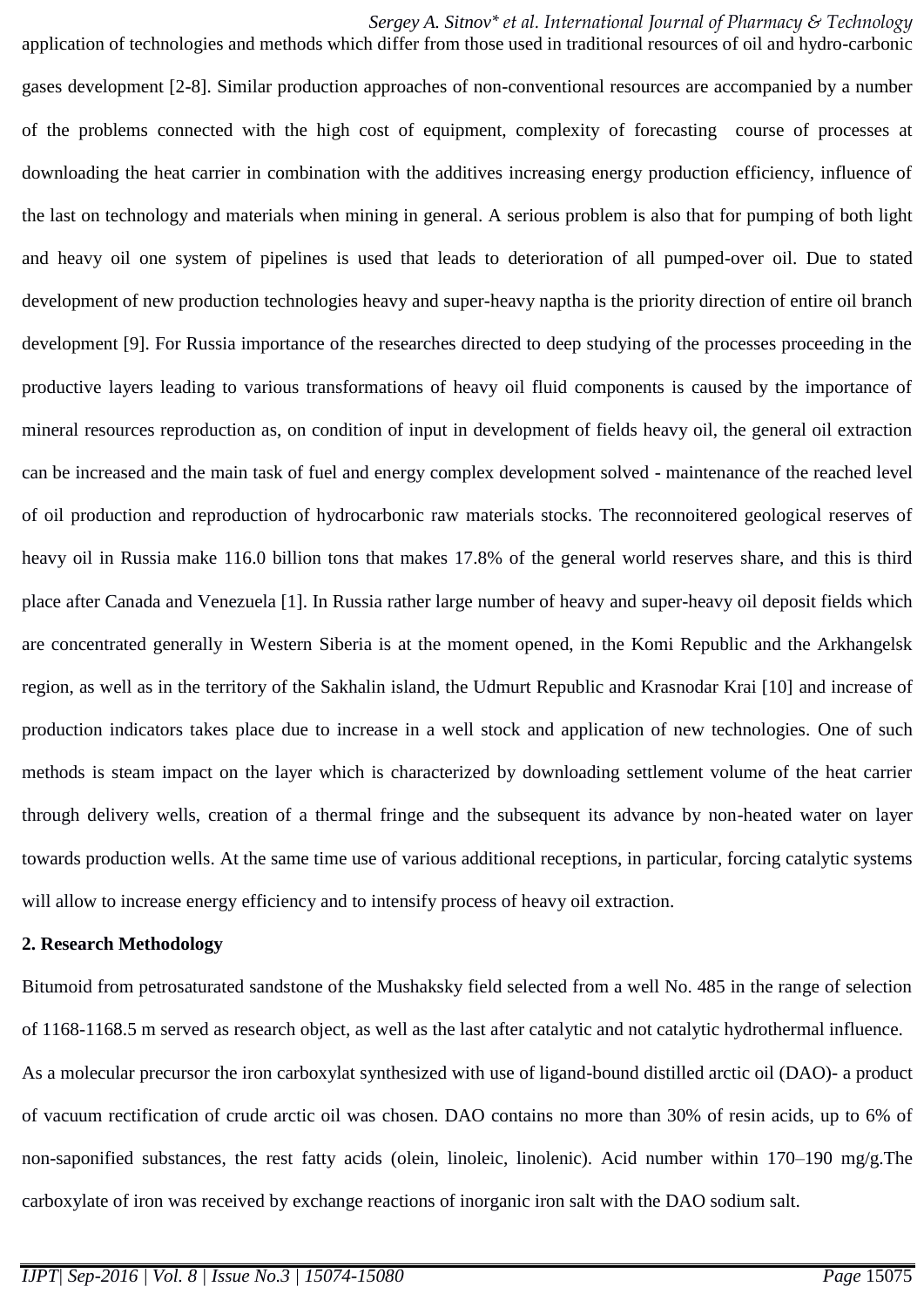*Sergey A. Sitnov\* et al. International Journal of Pharmacy & Technology*

application of technologies and methods which differ from those used in traditional resources of oil and hydro-carbonic gases development [2-8]. Similar production approaches of non-conventional resources are accompanied by a number of the problems connected with the high cost of equipment, complexity of forecasting course of processes at downloading the heat carrier in combination with the additives increasing energy production efficiency, influence of the last on technology and materials when mining in general. A serious problem is also that for pumping of both light and heavy oil one system of pipelines is used that leads to deterioration of all pumped-over oil. Due to stated development of new production technologies heavy and super-heavy naptha is the priority direction of entire oil branch development [9]. For Russia importance of the researches directed to deep studying of the processes proceeding in the productive layers leading to various transformations of heavy oil fluid components is caused by the importance of mineral resources reproduction as, on condition of input in development of fields heavy oil, the general oil extraction can be increased and the main task of fuel and energy complex development solved - maintenance of the reached level of oil production and reproduction of hydrocarbonic raw materials stocks. The reconnoitered geological reserves of heavy oil in Russia make 116.0 billion tons that makes 17.8% of the general world reserves share, and this is third place after Canada and Venezuela [1]. In Russia rather large number of heavy and super-heavy oil deposit fields which are concentrated generally in Western Siberia is at the moment opened, in the Komi Republic and the Arkhangelsk region, as well as in the territory of the Sakhalin island, the Udmurt Republic and Krasnodar Krai [10] and increase of production indicators takes place due to increase in a well stock and application of new technologies. One of such methods is steam impact on the layer which is characterized by downloading settlement volume of the heat carrier through delivery wells, creation of a thermal fringe and the subsequent its advance by non-heated water on layer towards production wells. At the same time use of various additional receptions, in particular, forcing catalytic systems will allow to increase energy efficiency and to intensify process of heavy oil extraction.

# **2. Research Methodology**

Bitumoid from petrosaturated sandstone of the Mushaksky field selected from a well No. 485 in the range of selection of 1168-1168.5 m served as research object, as well as the last after catalytic and not catalytic hydrothermal influence. As a molecular precursor the iron carboxylat synthesized with use of ligand-bound distilled arctic oil (DAO)- a product of vacuum rectification of crude arctic oil was chosen. DAO contains no more than 30% of resin acids, up to 6% of non-saponified substances, the rest fatty acids (olein, linoleic, linolenic). Acid number within 170–190 mg/g.The carboxylate of iron was received by exchange reactions of inorganic iron salt with the DAO sodium salt.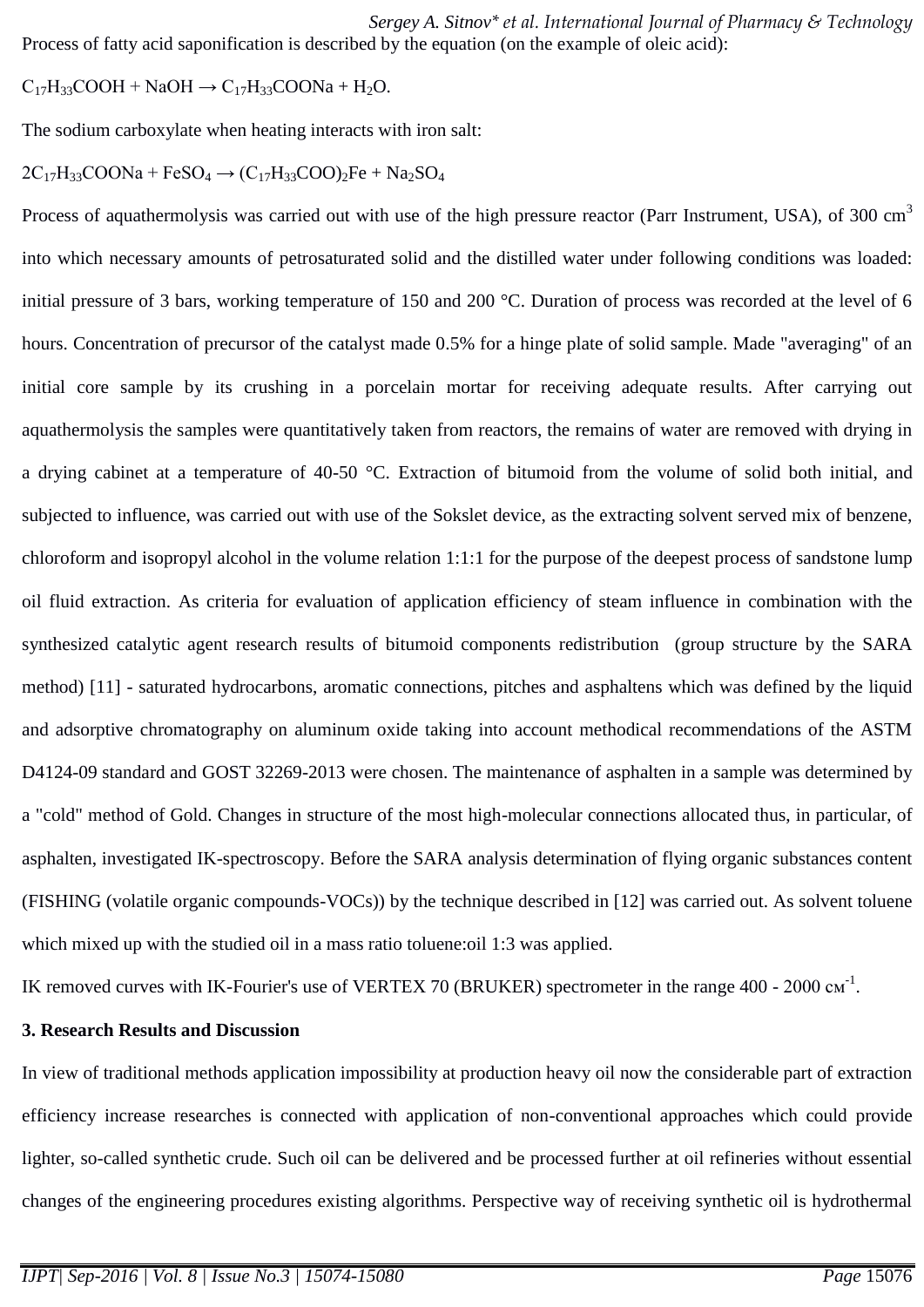*Sergey A. Sitnov\* et al. International Journal of Pharmacy & Technology* Process of fatty acid saponification is described by the equation (on the example of oleic acid):

 $C_{17}H_{33}COOH + NaOH \rightarrow C_{17}H_{33}COONa + H_2O.$ 

The sodium carboxylate when heating interacts with iron salt:

$$
2C_{17}H_{33}COONa + FeSO_4 \rightarrow (C_{17}H_{33}COO)_2Fe + Na_2SO_4
$$

Process of aquathermolysis was carried out with use of the high pressure reactor (Parr Instrument, USA), of 300 cm<sup>3</sup> into which necessary amounts of petrosaturated solid and the distilled water under following conditions was loaded: initial pressure of 3 bars, working temperature of 150 and 200 °C. Duration of process was recorded at the level of 6 hours. Concentration of precursor of the catalyst made 0.5% for a hinge plate of solid sample. Made "averaging" of an initial core sample by its crushing in a porcelain mortar for receiving adequate results. After carrying out aquathermolysis the samples were quantitatively taken from reactors, the remains of water are removed with drying in a drying cabinet at a temperature of 40-50 °C. Extraction of bitumoid from the volume of solid both initial, and subjected to influence, was carried out with use of the Sokslet device, as the extracting solvent served mix of benzene, chloroform and isopropyl alcohol in the volume relation 1:1:1 for the purpose of the deepest process of sandstone lump oil fluid extraction. As criteria for evaluation of application efficiency of steam influence in combination with the synthesized catalytic agent research results of bitumoid components redistribution (group structure by the SARA method) [11] - saturated hydrocarbons, aromatic connections, pitches and asphaltens which was defined by the liquid and adsorptive chromatography on aluminum oxide taking into account methodical recommendations of the ASTM D4124-09 standard and GOST 32269-2013 were chosen. The maintenance of asphalten in a sample was determined by a "cold" method of Gold. Changes in structure of the most high-molecular connections allocated thus, in particular, of asphalten, investigated IK-spectroscopy. Before the SARA analysis determination of flying organic substances content (FISHING (volatile organic compounds-VOCs)) by the technique described in [12] was carried out. As solvent toluene which mixed up with the studied oil in a mass ratio toluene: oil 1:3 was applied.

IK removed curves with IK-Fourier's use of VERTEX 70 (BRUKER) spectrometer in the range 400 - 2000  $cm^{-1}$ .

# **3. Research Results and Discussion**

In view of traditional methods application impossibility at production heavy oil now the considerable part of extraction efficiency increase researches is connected with application of non-conventional approaches which could provide lighter, so-called synthetic crude. Such oil can be delivered and be processed further at oil refineries without essential changes of the engineering procedures existing algorithms. Perspective way of receiving synthetic oil is hydrothermal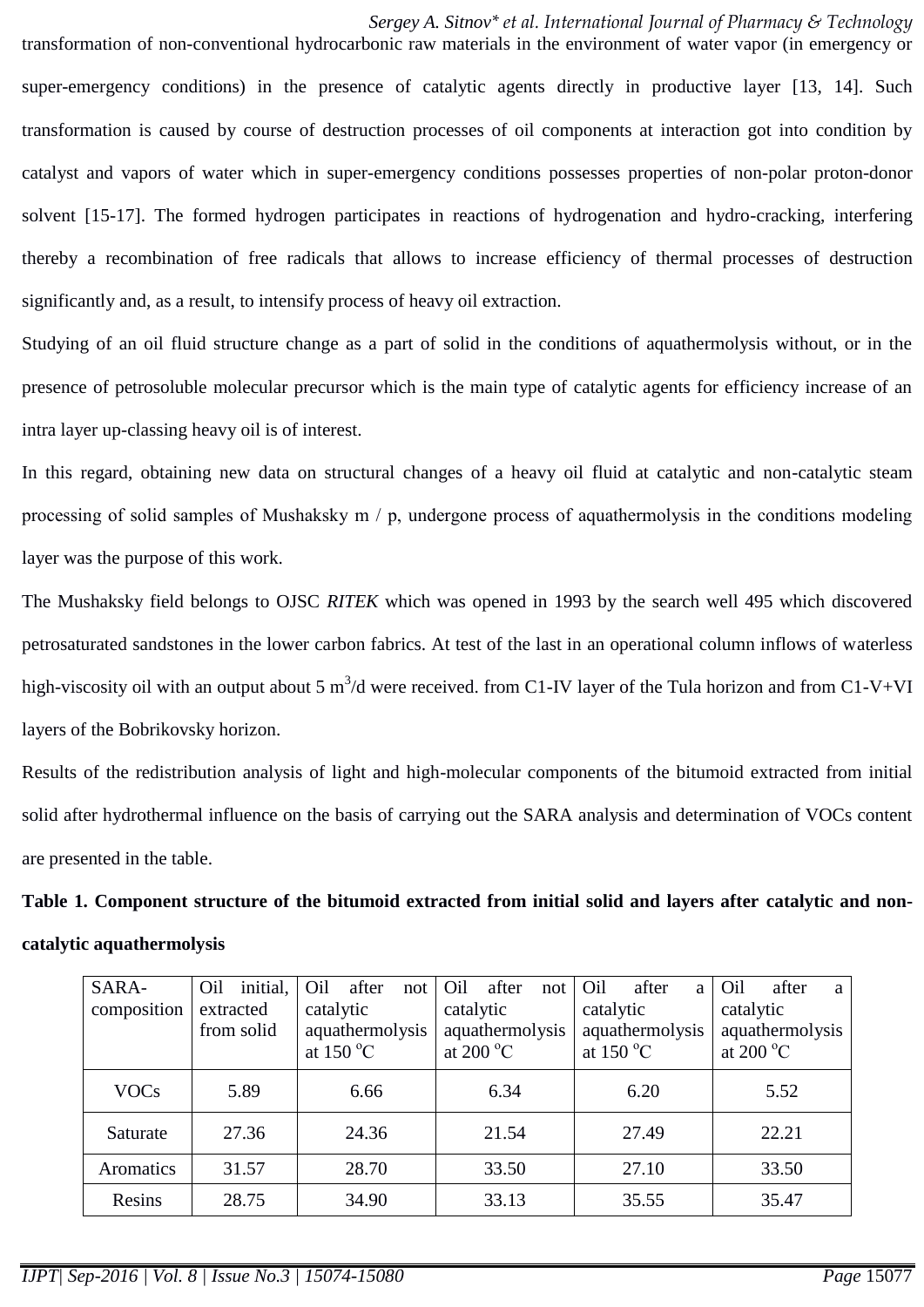*Sergey A. Sitnov\* et al. International Journal of Pharmacy & Technology*

transformation of non-conventional hydrocarbonic raw materials in the environment of water vapor (in emergency or super-emergency conditions) in the presence of catalytic agents directly in productive layer [13, 14]. Such transformation is caused by course of destruction processes of oil components at interaction got into condition by catalyst and vapors of water which in super-emergency conditions possesses properties of non-polar proton-donor solvent [15-17]. The formed hydrogen participates in reactions of hydrogenation and hydro-cracking, interfering thereby a recombination of free radicals that allows to increase efficiency of thermal processes of destruction significantly and, as a result, to intensify process of heavy oil extraction.

Studying of an oil fluid structure change as a part of solid in the conditions of aquathermolysis without, or in the presence of petrosoluble molecular precursor which is the main type of catalytic agents for efficiency increase of an intra layer up-classing heavy oil is of interest.

In this regard, obtaining new data on structural changes of a heavy oil fluid at catalytic and non-catalytic steam processing of solid samples of Mushaksky m / p, undergone process of aquathermolysis in the conditions modeling layer was the purpose of this work.

The Mushaksky field belongs to OJSC *RITEK* which was opened in 1993 by the search well 495 which discovered petrosaturated sandstones in the lower carbon fabrics. At test of the last in an operational column inflows of waterless high-viscosity oil with an output about 5 m<sup>3</sup>/d were received. from C1-IV layer of the Tula horizon and from C1-V+VI layers of the Bobrikovsky horizon.

Results of the redistribution analysis of light and high-molecular components of the bitumoid extracted from initial solid after hydrothermal influence on the basis of carrying out the SARA analysis and determination of VOCs content are presented in the table.

**Table 1. Component structure of the bitumoid extracted from initial solid and layers after catalytic and noncatalytic aquathermolysis**

| SARA-       | Oil        | initial, | Oil             | after              | not             | Oil       | after                 | not             | Oil       | after              | a         | Oil                   | after | a |
|-------------|------------|----------|-----------------|--------------------|-----------------|-----------|-----------------------|-----------------|-----------|--------------------|-----------|-----------------------|-------|---|
| composition | extracted  |          | catalytic       |                    |                 | catalytic |                       |                 | catalytic |                    | catalytic |                       |       |   |
|             | from solid |          | aquathermolysis |                    | aquathermolysis |           |                       | aquathermolysis |           | aquathermolysis    |           |                       |       |   |
|             |            |          |                 | at $150^{\circ}$ C |                 |           | at 200 $\mathrm{^oC}$ |                 |           | at $150^{\circ}$ C |           | at 200 $\mathrm{^oC}$ |       |   |
| <b>VOCs</b> |            | 5.89     |                 | 6.66               |                 |           | 6.34                  |                 |           | 6.20               |           |                       | 5.52  |   |
| Saturate    |            | 27.36    |                 | 24.36              |                 |           | 21.54                 |                 |           | 27.49              |           |                       | 22.21 |   |
| Aromatics   |            | 31.57    |                 | 28.70              |                 |           | 33.50                 |                 |           | 27.10              |           |                       | 33.50 |   |
| Resins      |            | 28.75    |                 | 34.90              |                 |           | 33.13                 |                 |           | 35.55              |           |                       | 35.47 |   |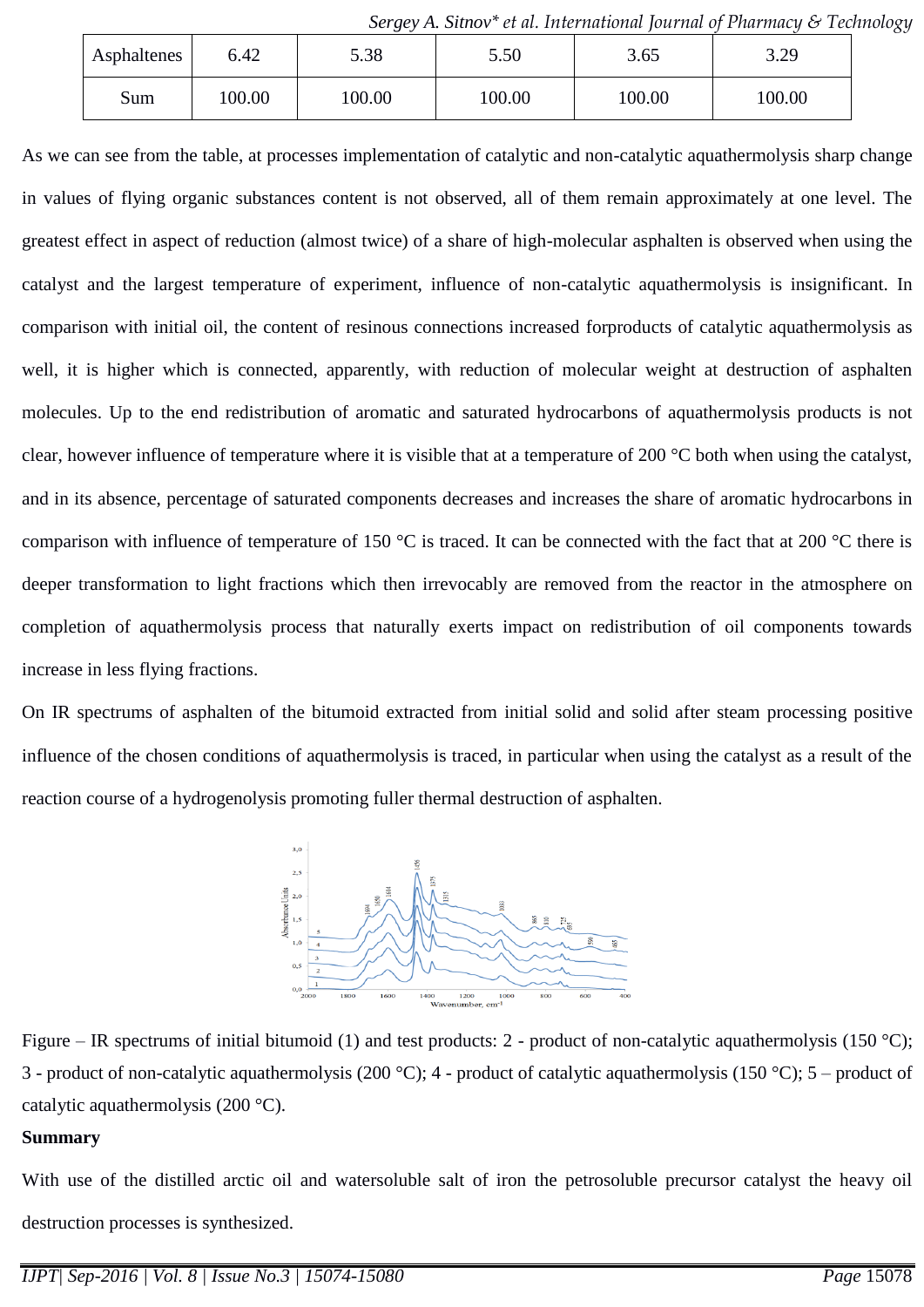|             |       |        | $\sigma$ or $\chi$ , $\eta$ . Sunce the contractional continue of Figure and $\eta$ is recently |        |        |  |
|-------------|-------|--------|-------------------------------------------------------------------------------------------------|--------|--------|--|
| Asphaltenes | 6.42  | 5.38   | 5.50                                                                                            | 3.65   | 3.29   |  |
| Sum         | 00.00 | 100.00 | 100.00                                                                                          | 100.00 | 100.00 |  |

*Sergey A. Sitnov\* et al. International Journal of Pharmacy & Technology*

As we can see from the table, at processes implementation of catalytic and non-catalytic aquathermolysis sharp change in values of flying organic substances content is not observed, all of them remain approximately at one level. The greatest effect in aspect of reduction (almost twice) of a share of high-molecular asphalten is observed when using the catalyst and the largest temperature of experiment, influence of non-catalytic aquathermolysis is insignificant. In comparison with initial oil, the content of resinous connections increased forproducts of catalytic aquathermolysis as well, it is higher which is connected, apparently, with reduction of molecular weight at destruction of asphalten molecules. Up to the end redistribution of aromatic and saturated hydrocarbons of aquathermolysis products is not clear, however influence of temperature where it is visible that at a temperature of 200 °C both when using the catalyst, and in its absence, percentage of saturated components decreases and increases the share of aromatic hydrocarbons in comparison with influence of temperature of 150 °C is traced. It can be connected with the fact that at 200 °C there is deeper transformation to light fractions which then irrevocably are removed from the reactor in the atmosphere on completion of aquathermolysis process that naturally exerts impact on redistribution of oil components towards increase in less flying fractions.

On IR spectrums of asphalten of the bitumoid extracted from initial solid and solid after steam processing positive influence of the chosen conditions of aquathermolysis is traced, in particular when using the catalyst as a result of the reaction course of a hydrogenolysis promoting fuller thermal destruction of asphalten.



Figure – IR spectrums of initial bitumoid (1) and test products: 2 - product of non-catalytic aquathermolysis (150 °C); 3 - product of non-catalytic aquathermolysis (200 °C); 4 - product of catalytic aquathermolysis (150 °C); 5 – product of catalytic aquathermolysis (200 °C).

# **Summary**

With use of the distilled arctic oil and watersoluble salt of iron the petrosoluble precursor catalyst the heavy oil destruction processes is synthesized.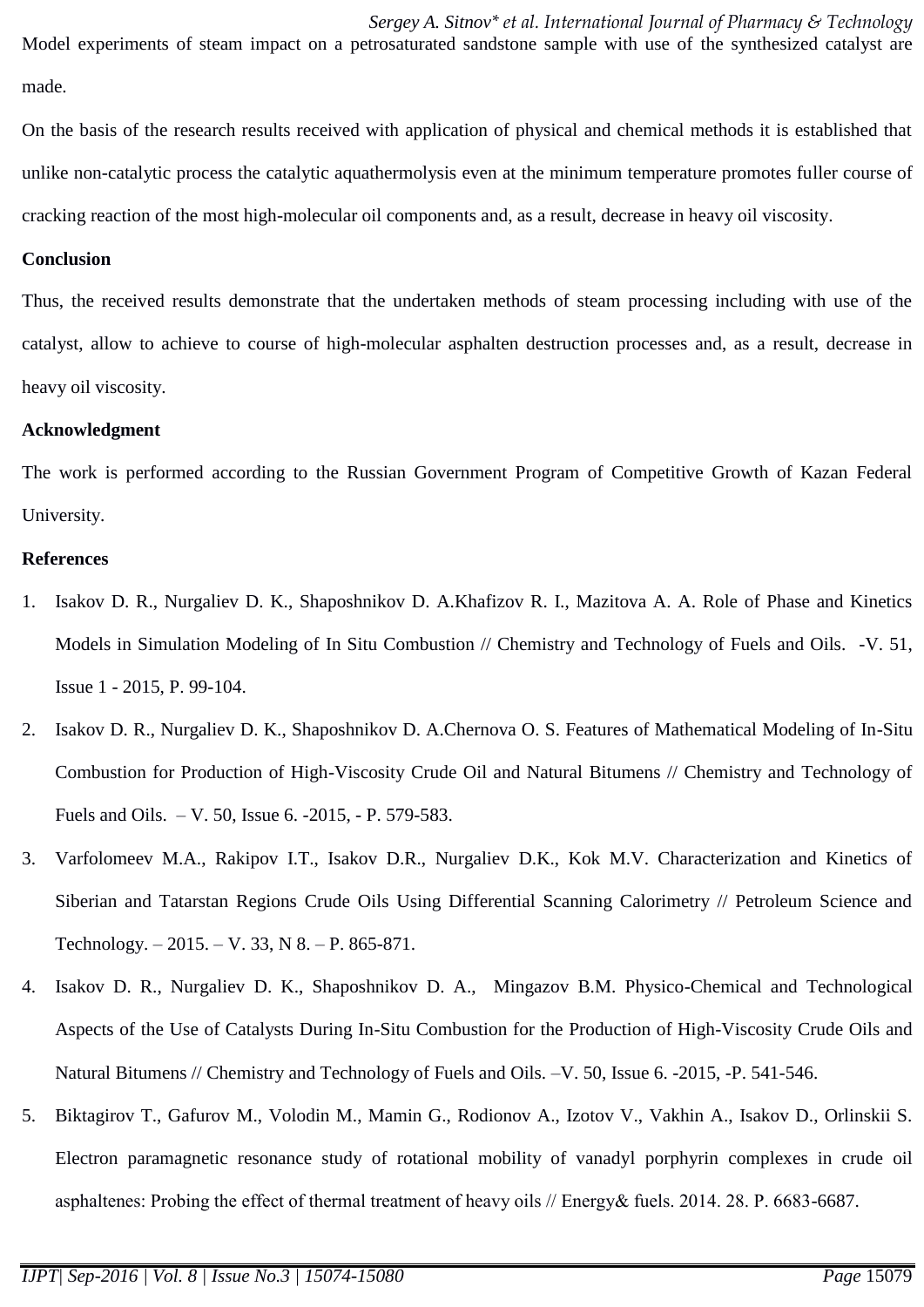*Sergey A. Sitnov\* et al. International Journal of Pharmacy & Technology* Model experiments of steam impact on a petrosaturated sandstone sample with use of the synthesized catalyst are made.

On the basis of the research results received with application of physical and chemical methods it is established that unlike non-catalytic process the catalytic aquathermolysis even at the minimum temperature promotes fuller course of cracking reaction of the most high-molecular oil components and, as a result, decrease in heavy oil viscosity.

### **Conclusion**

Thus, the received results demonstrate that the undertaken methods of steam processing including with use of the catalyst, allow to achieve to course of high-molecular asphalten destruction processes and, as a result, decrease in heavy oil viscosity.

#### **Acknowledgment**

The work is performed according to the Russian Government Program of Competitive Growth of Kazan Federal University.

### **References**

- 1. Isakov D. R., Nurgaliev D. K., Shaposhnikov D. A.Khafizov R. I., Mazitova A. A. Role of Phase and Kinetics Models in Simulation Modeling of In Situ Combustion // Chemistry and Technology of Fuels and Oils. -V. 51, Issue 1 - 2015, P. 99-104.
- 2. Isakov D. R., Nurgaliev D. K., Shaposhnikov D. A.Chernova O. S. Features of Mathematical Modeling of In-Situ Combustion for Production of High-Viscosity Crude Oil and Natural Bitumens // Chemistry and Technology of Fuels and Oils. – V. 50, Issue 6. -2015, - P. 579-583.
- 3. Varfolomeev M.A., Rakipov I.T., Isakov D.R., Nurgaliev D.K., Kok M.V. Characterization and Kinetics of Siberian and Tatarstan Regions Crude Oils Using Differential Scanning Calorimetry // Petroleum Science and Technology. – 2015. – V. 33, N 8. – P. 865-871.
- 4. Isakov D. R., Nurgaliev D. K., Shaposhnikov D. A., Mingazov B.M. Physico-Chemical and Technological Aspects of the Use of Catalysts During In-Situ Combustion for the Production of High-Viscosity Crude Oils and Natural Bitumens // Chemistry and Technology of Fuels and Oils. –V. 50, Issue 6. -2015, -P. 541-546.
- 5. Biktagirov T., Gafurov M., Volodin M., Mamin G., Rodionov A., Izotov V., Vakhin A., Isakov D., Orlinskii S. Electron paramagnetic resonance study of rotational mobility of vanadyl porphyrin complexes in crude oil asphaltenes: Probing the effect of thermal treatment of heavy oils // Еnergy& fuels. 2014. 28. P. 6683-6687.